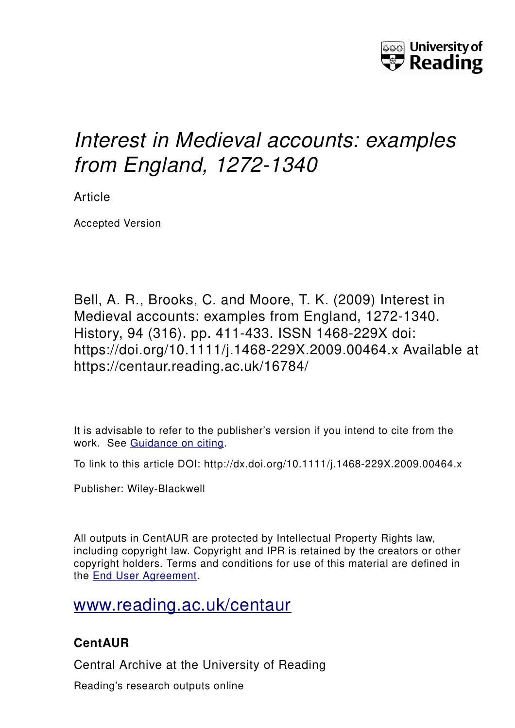

# *Interest in Medieval accounts: examples from England, 1272-1340*

Article

Accepted Version

Bell, A. R., Brooks, C. and Moore, T. K. (2009) Interest in Medieval accounts: examples from England, 1272-1340. History, 94 (316). pp. 411-433. ISSN 1468-229X doi: https://doi.org/10.1111/j.1468-229X.2009.00464.x Available at https://centaur.reading.ac.uk/16784/

It is advisable to refer to the publisher's version if you intend to cite from the work. See [Guidance on citing.](http://centaur.reading.ac.uk/71187/10/CentAUR%20citing%20guide.pdf)

To link to this article DOI: http://dx.doi.org/10.1111/j.1468-229X.2009.00464.x

Publisher: Wiley-Blackwell

All outputs in CentAUR are protected by Intellectual Property Rights law, including copyright law. Copyright and IPR is retained by the creators or other copyright holders. Terms and conditions for use of this material are defined in the [End User Agreement.](http://centaur.reading.ac.uk/licence)

## [www.reading.ac.uk/centaur](http://www.reading.ac.uk/centaur)

### **CentAUR**

Central Archive at the University of Reading

Reading's research outputs online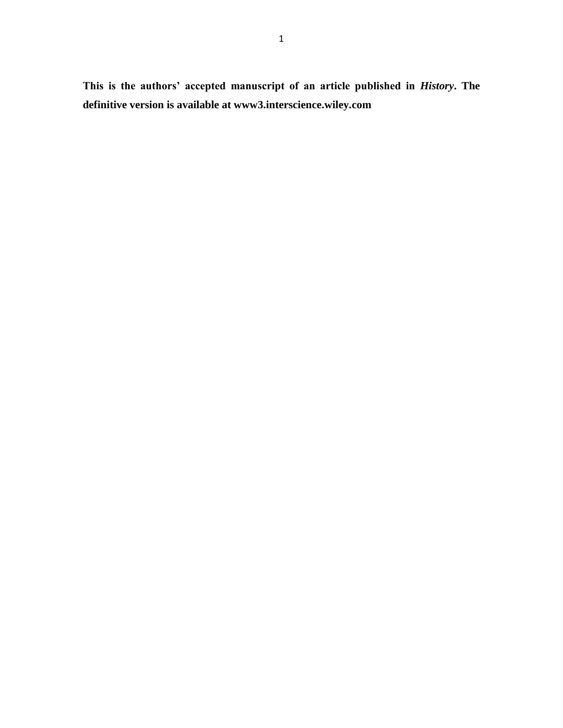**This is the authors' accepted manuscript of an article published in** *History***. The definitive version is available at www3.interscience.wiley.com**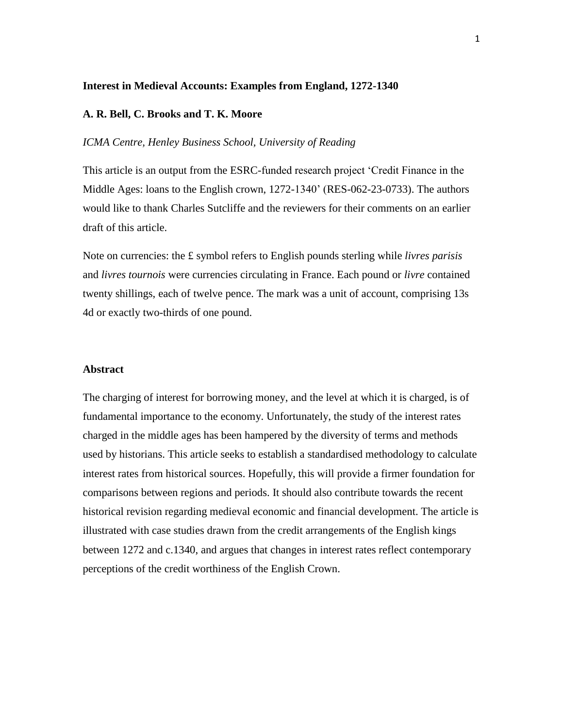#### **Interest in Medieval Accounts: Examples from England, 1272-1340**

#### **A. R. Bell, C. Brooks and T. K. Moore**

#### *ICMA Centre, Henley Business School, University of Reading*

This article is an output from the ESRC-funded research project 'Credit Finance in the Middle Ages: loans to the English crown, 1272-1340' (RES-062-23-0733). The authors would like to thank Charles Sutcliffe and the reviewers for their comments on an earlier draft of this article.

Note on currencies: the £ symbol refers to English pounds sterling while *livres parisis* and *livres tournois* were currencies circulating in France. Each pound or *livre* contained twenty shillings, each of twelve pence. The mark was a unit of account, comprising 13s 4d or exactly two-thirds of one pound.

#### **Abstract**

The charging of interest for borrowing money, and the level at which it is charged, is of fundamental importance to the economy. Unfortunately, the study of the interest rates charged in the middle ages has been hampered by the diversity of terms and methods used by historians. This article seeks to establish a standardised methodology to calculate interest rates from historical sources. Hopefully, this will provide a firmer foundation for comparisons between regions and periods. It should also contribute towards the recent historical revision regarding medieval economic and financial development. The article is illustrated with case studies drawn from the credit arrangements of the English kings between 1272 and c.1340, and argues that changes in interest rates reflect contemporary perceptions of the credit worthiness of the English Crown.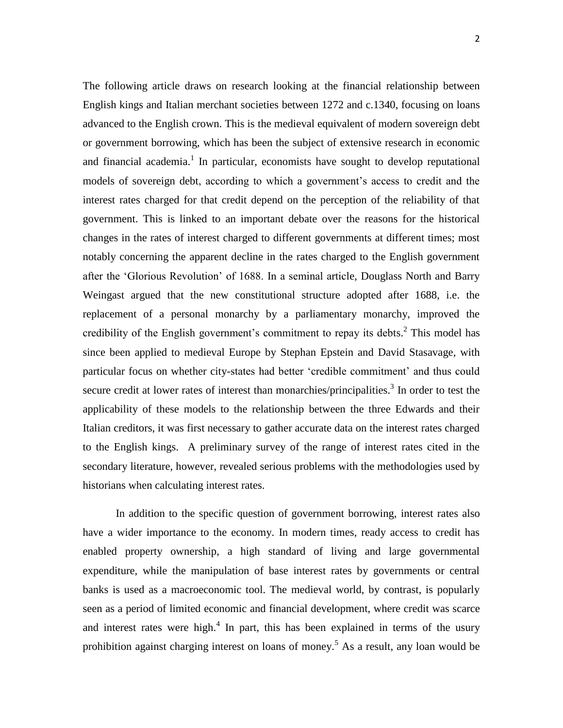The following article draws on research looking at the financial relationship between English kings and Italian merchant societies between 1272 and c.1340, focusing on loans advanced to the English crown. This is the medieval equivalent of modern sovereign debt or government borrowing, which has been the subject of extensive research in economic and financial academia.<sup>1</sup> In particular, economists have sought to develop reputational models of sovereign debt, according to which a government's access to credit and the interest rates charged for that credit depend on the perception of the reliability of that government. This is linked to an important debate over the reasons for the historical changes in the rates of interest charged to different governments at different times; most notably concerning the apparent decline in the rates charged to the English government after the 'Glorious Revolution' of 1688. In a seminal article, Douglass North and Barry Weingast argued that the new constitutional structure adopted after 1688, i.e. the replacement of a personal monarchy by a parliamentary monarchy, improved the credibility of the English government's commitment to repay its debts.<sup>2</sup> This model has since been applied to medieval Europe by Stephan Epstein and David Stasavage, with particular focus on whether city-states had better 'credible commitment' and thus could secure credit at lower rates of interest than monarchies/principalities.<sup>3</sup> In order to test the applicability of these models to the relationship between the three Edwards and their Italian creditors, it was first necessary to gather accurate data on the interest rates charged to the English kings. A preliminary survey of the range of interest rates cited in the secondary literature, however, revealed serious problems with the methodologies used by historians when calculating interest rates.

In addition to the specific question of government borrowing, interest rates also have a wider importance to the economy. In modern times, ready access to credit has enabled property ownership, a high standard of living and large governmental expenditure, while the manipulation of base interest rates by governments or central banks is used as a macroeconomic tool. The medieval world, by contrast, is popularly seen as a period of limited economic and financial development, where credit was scarce and interest rates were high.<sup>4</sup> In part, this has been explained in terms of the usury prohibition against charging interest on loans of money.<sup>5</sup> As a result, any loan would be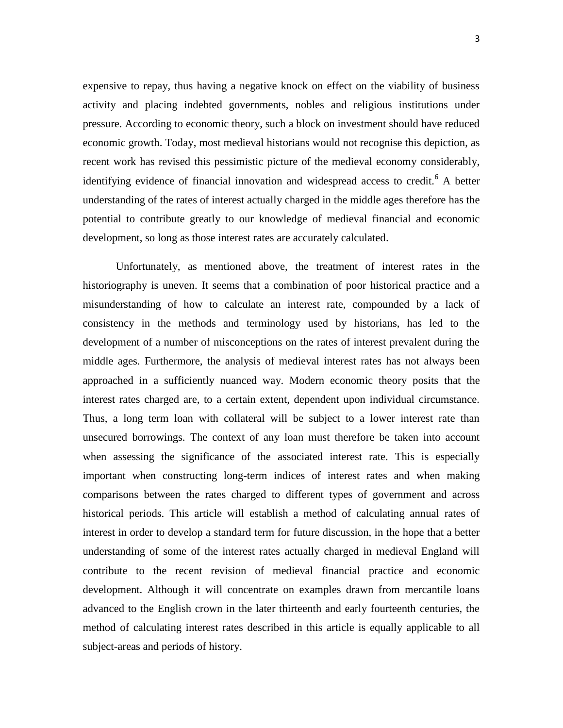expensive to repay, thus having a negative knock on effect on the viability of business activity and placing indebted governments, nobles and religious institutions under pressure. According to economic theory, such a block on investment should have reduced economic growth. Today, most medieval historians would not recognise this depiction, as recent work has revised this pessimistic picture of the medieval economy considerably, identifying evidence of financial innovation and widespread access to credit.<sup>6</sup> A better understanding of the rates of interest actually charged in the middle ages therefore has the potential to contribute greatly to our knowledge of medieval financial and economic development, so long as those interest rates are accurately calculated.

Unfortunately, as mentioned above, the treatment of interest rates in the historiography is uneven. It seems that a combination of poor historical practice and a misunderstanding of how to calculate an interest rate, compounded by a lack of consistency in the methods and terminology used by historians, has led to the development of a number of misconceptions on the rates of interest prevalent during the middle ages. Furthermore, the analysis of medieval interest rates has not always been approached in a sufficiently nuanced way. Modern economic theory posits that the interest rates charged are, to a certain extent, dependent upon individual circumstance. Thus, a long term loan with collateral will be subject to a lower interest rate than unsecured borrowings. The context of any loan must therefore be taken into account when assessing the significance of the associated interest rate. This is especially important when constructing long-term indices of interest rates and when making comparisons between the rates charged to different types of government and across historical periods. This article will establish a method of calculating annual rates of interest in order to develop a standard term for future discussion, in the hope that a better understanding of some of the interest rates actually charged in medieval England will contribute to the recent revision of medieval financial practice and economic development. Although it will concentrate on examples drawn from mercantile loans advanced to the English crown in the later thirteenth and early fourteenth centuries, the method of calculating interest rates described in this article is equally applicable to all subject-areas and periods of history.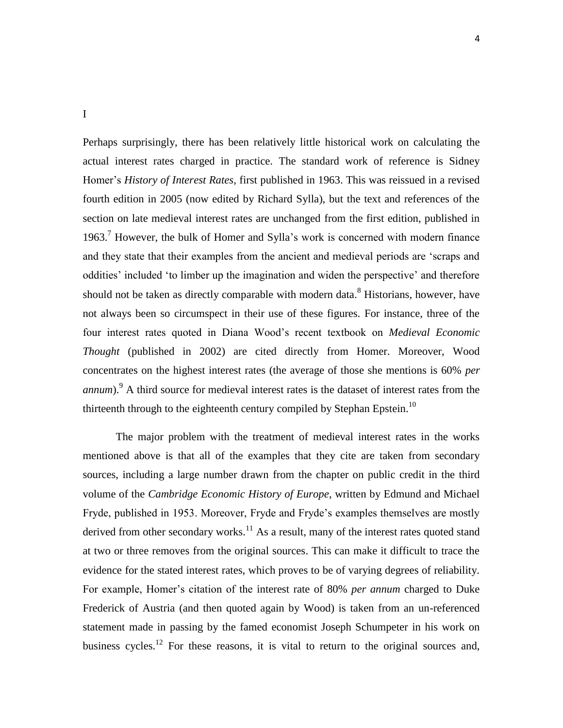I

Perhaps surprisingly, there has been relatively little historical work on calculating the actual interest rates charged in practice. The standard work of reference is Sidney Homer's *History of Interest Rates*, first published in 1963. This was reissued in a revised fourth edition in 2005 (now edited by Richard Sylla), but the text and references of the section on late medieval interest rates are unchanged from the first edition, published in 1963.<sup>7</sup> However, the bulk of Homer and Sylla's work is concerned with modern finance and they state that their examples from the ancient and medieval periods are 'scraps and oddities' included 'to limber up the imagination and widen the perspective' and therefore should not be taken as directly comparable with modern data.<sup>8</sup> Historians, however, have not always been so circumspect in their use of these figures. For instance, three of the four interest rates quoted in Diana Wood's recent textbook on *Medieval Economic Thought* (published in 2002) are cited directly from Homer. Moreover, Wood concentrates on the highest interest rates (the average of those she mentions is 60% *per annum*).<sup>9</sup> A third source for medieval interest rates is the dataset of interest rates from the thirteenth through to the eighteenth century compiled by Stephan Epstein.<sup>10</sup>

The major problem with the treatment of medieval interest rates in the works mentioned above is that all of the examples that they cite are taken from secondary sources, including a large number drawn from the chapter on public credit in the third volume of the *Cambridge Economic History of Europe*, written by Edmund and Michael Fryde, published in 1953. Moreover, Fryde and Fryde's examples themselves are mostly derived from other secondary works.<sup>11</sup> As a result, many of the interest rates quoted stand at two or three removes from the original sources. This can make it difficult to trace the evidence for the stated interest rates, which proves to be of varying degrees of reliability. For example, Homer's citation of the interest rate of 80% *per annum* charged to Duke Frederick of Austria (and then quoted again by Wood) is taken from an un-referenced statement made in passing by the famed economist Joseph Schumpeter in his work on business cycles.<sup>12</sup> For these reasons, it is vital to return to the original sources and,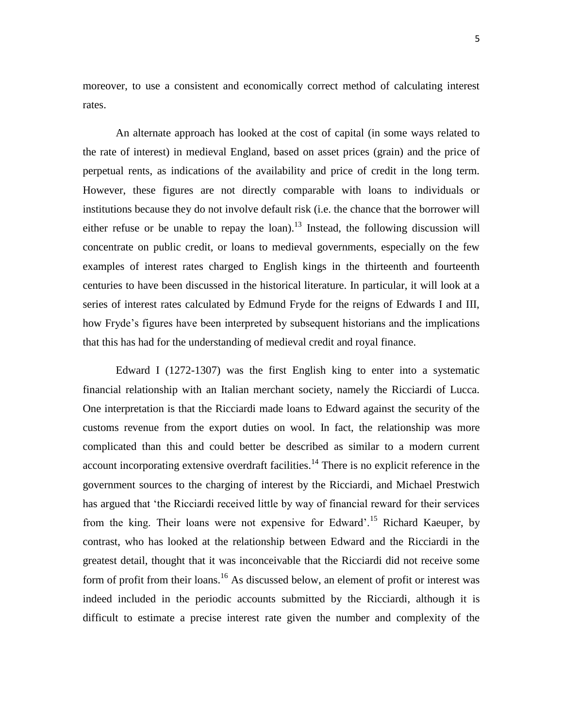moreover, to use a consistent and economically correct method of calculating interest rates.

An alternate approach has looked at the cost of capital (in some ways related to the rate of interest) in medieval England, based on asset prices (grain) and the price of perpetual rents, as indications of the availability and price of credit in the long term. However, these figures are not directly comparable with loans to individuals or institutions because they do not involve default risk (i.e. the chance that the borrower will either refuse or be unable to repay the loan).<sup>13</sup> Instead, the following discussion will concentrate on public credit, or loans to medieval governments, especially on the few examples of interest rates charged to English kings in the thirteenth and fourteenth centuries to have been discussed in the historical literature. In particular, it will look at a series of interest rates calculated by Edmund Fryde for the reigns of Edwards I and III, how Fryde's figures have been interpreted by subsequent historians and the implications that this has had for the understanding of medieval credit and royal finance.

Edward I (1272-1307) was the first English king to enter into a systematic financial relationship with an Italian merchant society, namely the Ricciardi of Lucca. One interpretation is that the Ricciardi made loans to Edward against the security of the customs revenue from the export duties on wool. In fact, the relationship was more complicated than this and could better be described as similar to a modern current account incorporating extensive overdraft facilities.<sup>14</sup> There is no explicit reference in the government sources to the charging of interest by the Ricciardi, and Michael Prestwich has argued that 'the Ricciardi received little by way of financial reward for their services from the king. Their loans were not expensive for Edward'.<sup>15</sup> Richard Kaeuper, by contrast, who has looked at the relationship between Edward and the Ricciardi in the greatest detail, thought that it was inconceivable that the Ricciardi did not receive some form of profit from their loans.<sup>16</sup> As discussed below, an element of profit or interest was indeed included in the periodic accounts submitted by the Ricciardi, although it is difficult to estimate a precise interest rate given the number and complexity of the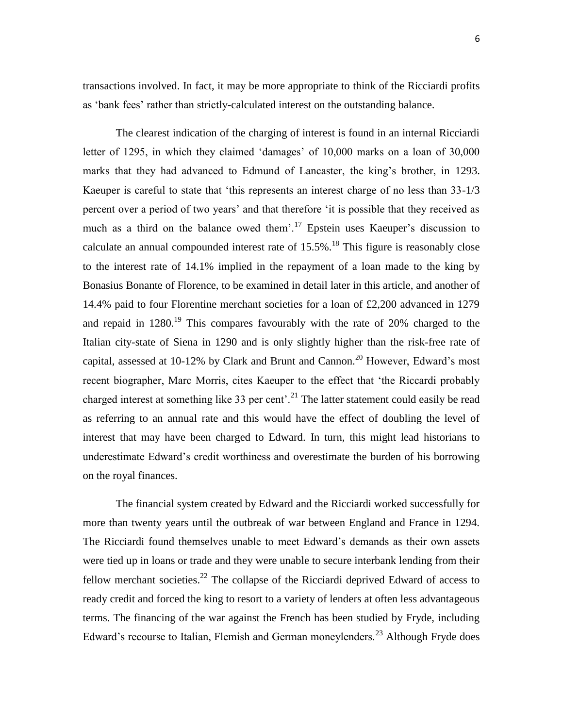transactions involved. In fact, it may be more appropriate to think of the Ricciardi profits as 'bank fees' rather than strictly-calculated interest on the outstanding balance.

The clearest indication of the charging of interest is found in an internal Ricciardi letter of 1295, in which they claimed 'damages' of 10,000 marks on a loan of 30,000 marks that they had advanced to Edmund of Lancaster, the king's brother, in 1293. Kaeuper is careful to state that 'this represents an interest charge of no less than 33-1/3 percent over a period of two years' and that therefore 'it is possible that they received as much as a third on the balance owed them'.<sup>17</sup> Epstein uses Kaeuper's discussion to calculate an annual compounded interest rate of  $15.5\%$ .<sup>18</sup> This figure is reasonably close to the interest rate of 14.1% implied in the repayment of a loan made to the king by Bonasius Bonante of Florence, to be examined in detail later in this article, and another of 14.4% paid to four Florentine merchant societies for a loan of £2,200 advanced in 1279 and repaid in  $1280$ <sup>19</sup>. This compares favourably with the rate of  $20\%$  charged to the Italian city-state of Siena in 1290 and is only slightly higher than the risk-free rate of capital, assessed at 10-12% by Clark and Brunt and Cannon.<sup>20</sup> However, Edward's most recent biographer, Marc Morris, cites Kaeuper to the effect that 'the Riccardi probably charged interest at something like 33 per cent<sup>2</sup>.<sup>21</sup> The latter statement could easily be read as referring to an annual rate and this would have the effect of doubling the level of interest that may have been charged to Edward. In turn, this might lead historians to underestimate Edward's credit worthiness and overestimate the burden of his borrowing on the royal finances.

The financial system created by Edward and the Ricciardi worked successfully for more than twenty years until the outbreak of war between England and France in 1294. The Ricciardi found themselves unable to meet Edward's demands as their own assets were tied up in loans or trade and they were unable to secure interbank lending from their fellow merchant societies.<sup>22</sup> The collapse of the Ricciardi deprived Edward of access to ready credit and forced the king to resort to a variety of lenders at often less advantageous terms. The financing of the war against the French has been studied by Fryde, including Edward's recourse to Italian, Flemish and German moneylenders.<sup>23</sup> Although Fryde does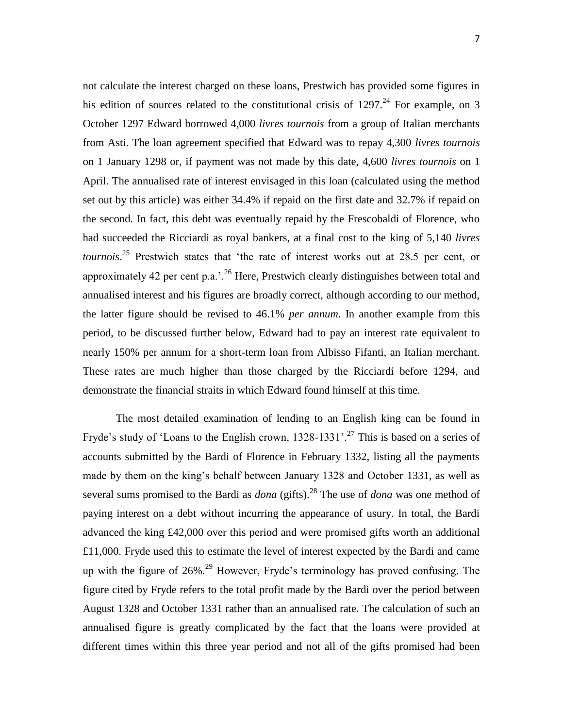not calculate the interest charged on these loans, Prestwich has provided some figures in his edition of sources related to the constitutional crisis of  $1297<sup>24</sup>$  For example, on 3 October 1297 Edward borrowed 4,000 *livres tournois* from a group of Italian merchants from Asti. The loan agreement specified that Edward was to repay 4,300 *livres tournois* on 1 January 1298 or, if payment was not made by this date, 4,600 *livres tournois* on 1 April. The annualised rate of interest envisaged in this loan (calculated using the method set out by this article) was either 34.4% if repaid on the first date and 32.7% if repaid on the second. In fact, this debt was eventually repaid by the Frescobaldi of Florence, who had succeeded the Ricciardi as royal bankers, at a final cost to the king of 5,140 *livres tournois*. <sup>25</sup> Prestwich states that 'the rate of interest works out at 28.5 per cent, or approximately 42 per cent p.a.'.<sup>26</sup> Here, Prestwich clearly distinguishes between total and annualised interest and his figures are broadly correct, although according to our method, the latter figure should be revised to 46.1% *per annum*. In another example from this period, to be discussed further below, Edward had to pay an interest rate equivalent to nearly 150% per annum for a short-term loan from Albisso Fifanti, an Italian merchant. These rates are much higher than those charged by the Ricciardi before 1294, and demonstrate the financial straits in which Edward found himself at this time.

The most detailed examination of lending to an English king can be found in Fryde's study of 'Loans to the English crown,  $1328-1331'$ .<sup>27</sup> This is based on a series of accounts submitted by the Bardi of Florence in February 1332, listing all the payments made by them on the king's behalf between January 1328 and October 1331, as well as several sums promised to the Bardi as *dona* (gifts).<sup>28</sup> The use of *dona* was one method of paying interest on a debt without incurring the appearance of usury. In total, the Bardi advanced the king £42,000 over this period and were promised gifts worth an additional £11,000. Fryde used this to estimate the level of interest expected by the Bardi and came up with the figure of  $26\%$ .<sup>29</sup> However, Fryde's terminology has proved confusing. The figure cited by Fryde refers to the total profit made by the Bardi over the period between August 1328 and October 1331 rather than an annualised rate. The calculation of such an annualised figure is greatly complicated by the fact that the loans were provided at different times within this three year period and not all of the gifts promised had been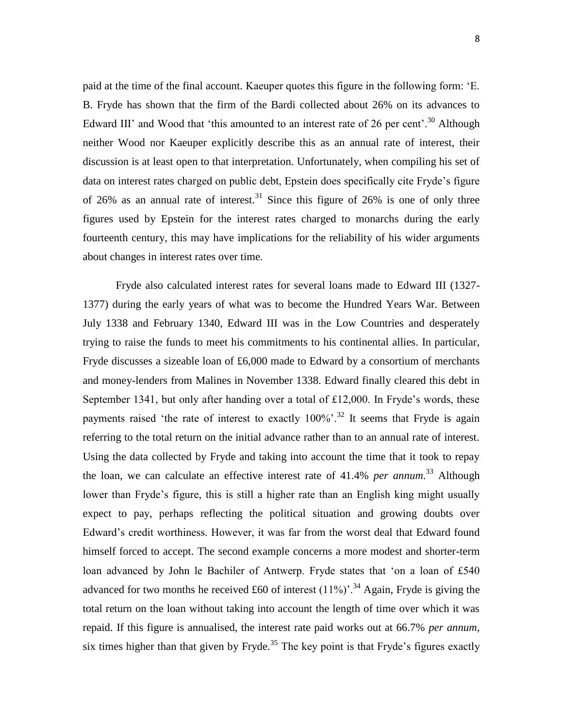paid at the time of the final account. Kaeuper quotes this figure in the following form: 'E. B. Fryde has shown that the firm of the Bardi collected about 26% on its advances to Edward III' and Wood that 'this amounted to an interest rate of 26 per cent'.<sup>30</sup> Although neither Wood nor Kaeuper explicitly describe this as an annual rate of interest, their discussion is at least open to that interpretation. Unfortunately, when compiling his set of data on interest rates charged on public debt, Epstein does specifically cite Fryde's figure of 26% as an annual rate of interest.<sup>31</sup> Since this figure of 26% is one of only three figures used by Epstein for the interest rates charged to monarchs during the early fourteenth century, this may have implications for the reliability of his wider arguments about changes in interest rates over time.

Fryde also calculated interest rates for several loans made to Edward III (1327- 1377) during the early years of what was to become the Hundred Years War. Between July 1338 and February 1340, Edward III was in the Low Countries and desperately trying to raise the funds to meet his commitments to his continental allies. In particular, Fryde discusses a sizeable loan of £6,000 made to Edward by a consortium of merchants and money-lenders from Malines in November 1338. Edward finally cleared this debt in September 1341, but only after handing over a total of £12,000. In Fryde's words, these payments raised 'the rate of interest to exactly  $100\%$ <sup>32</sup> It seems that Fryde is again referring to the total return on the initial advance rather than to an annual rate of interest. Using the data collected by Fryde and taking into account the time that it took to repay the loan, we can calculate an effective interest rate of 41.4% *per annum*. <sup>33</sup> Although lower than Fryde's figure, this is still a higher rate than an English king might usually expect to pay, perhaps reflecting the political situation and growing doubts over Edward's credit worthiness. However, it was far from the worst deal that Edward found himself forced to accept. The second example concerns a more modest and shorter-term loan advanced by John le Bachiler of Antwerp. Fryde states that 'on a loan of £540 advanced for two months he received £60 of interest  $(11\%)$ <sup>34</sup> Again, Fryde is giving the total return on the loan without taking into account the length of time over which it was repaid. If this figure is annualised, the interest rate paid works out at 66.7% *per annum*, six times higher than that given by Fryde.<sup>35</sup> The key point is that Fryde's figures exactly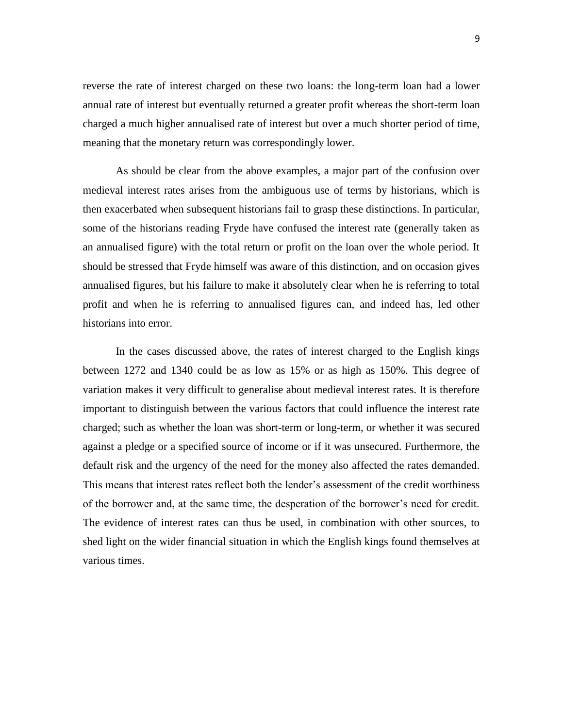reverse the rate of interest charged on these two loans: the long-term loan had a lower annual rate of interest but eventually returned a greater profit whereas the short-term loan charged a much higher annualised rate of interest but over a much shorter period of time, meaning that the monetary return was correspondingly lower.

As should be clear from the above examples, a major part of the confusion over medieval interest rates arises from the ambiguous use of terms by historians, which is then exacerbated when subsequent historians fail to grasp these distinctions. In particular, some of the historians reading Fryde have confused the interest rate (generally taken as an annualised figure) with the total return or profit on the loan over the whole period. It should be stressed that Fryde himself was aware of this distinction, and on occasion gives annualised figures, but his failure to make it absolutely clear when he is referring to total profit and when he is referring to annualised figures can, and indeed has, led other historians into error.

In the cases discussed above, the rates of interest charged to the English kings between 1272 and 1340 could be as low as 15% or as high as 150%. This degree of variation makes it very difficult to generalise about medieval interest rates. It is therefore important to distinguish between the various factors that could influence the interest rate charged; such as whether the loan was short-term or long-term, or whether it was secured against a pledge or a specified source of income or if it was unsecured. Furthermore, the default risk and the urgency of the need for the money also affected the rates demanded. This means that interest rates reflect both the lender's assessment of the credit worthiness of the borrower and, at the same time, the desperation of the borrower's need for credit. The evidence of interest rates can thus be used, in combination with other sources, to shed light on the wider financial situation in which the English kings found themselves at various times.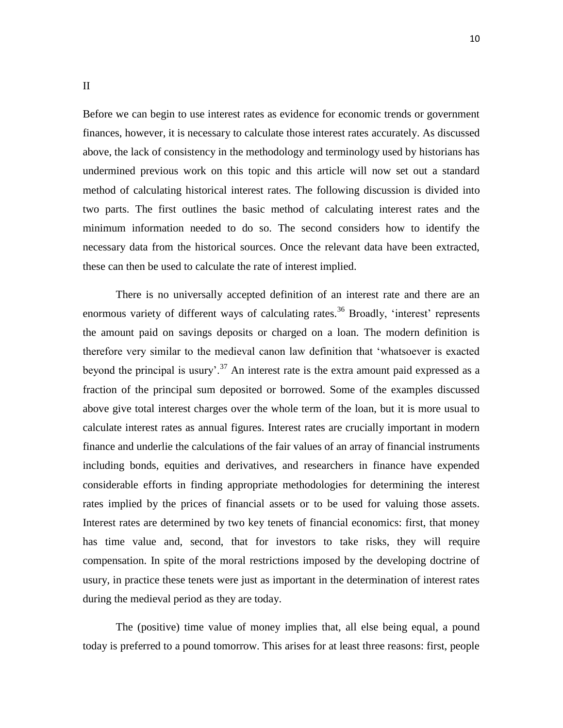Before we can begin to use interest rates as evidence for economic trends or government finances, however, it is necessary to calculate those interest rates accurately. As discussed above, the lack of consistency in the methodology and terminology used by historians has undermined previous work on this topic and this article will now set out a standard method of calculating historical interest rates. The following discussion is divided into two parts. The first outlines the basic method of calculating interest rates and the minimum information needed to do so. The second considers how to identify the necessary data from the historical sources. Once the relevant data have been extracted, these can then be used to calculate the rate of interest implied.

There is no universally accepted definition of an interest rate and there are an enormous variety of different ways of calculating rates.<sup>36</sup> Broadly, 'interest' represents the amount paid on savings deposits or charged on a loan. The modern definition is therefore very similar to the medieval canon law definition that 'whatsoever is exacted beyond the principal is usury'.<sup>37</sup> An interest rate is the extra amount paid expressed as a fraction of the principal sum deposited or borrowed. Some of the examples discussed above give total interest charges over the whole term of the loan, but it is more usual to calculate interest rates as annual figures. Interest rates are crucially important in modern finance and underlie the calculations of the fair values of an array of financial instruments including bonds, equities and derivatives, and researchers in finance have expended considerable efforts in finding appropriate methodologies for determining the interest rates implied by the prices of financial assets or to be used for valuing those assets. Interest rates are determined by two key tenets of financial economics: first, that money has time value and, second, that for investors to take risks, they will require compensation. In spite of the moral restrictions imposed by the developing doctrine of usury, in practice these tenets were just as important in the determination of interest rates during the medieval period as they are today.

The (positive) time value of money implies that, all else being equal, a pound today is preferred to a pound tomorrow. This arises for at least three reasons: first, people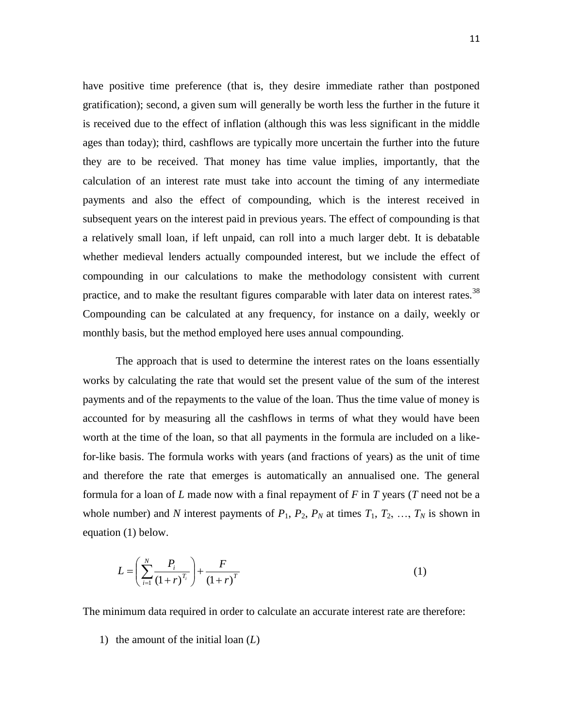have positive time preference (that is, they desire immediate rather than postponed gratification); second, a given sum will generally be worth less the further in the future it is received due to the effect of inflation (although this was less significant in the middle ages than today); third, cashflows are typically more uncertain the further into the future they are to be received. That money has time value implies, importantly, that the calculation of an interest rate must take into account the timing of any intermediate payments and also the effect of compounding, which is the interest received in subsequent years on the interest paid in previous years. The effect of compounding is that a relatively small loan, if left unpaid, can roll into a much larger debt. It is debatable whether medieval lenders actually compounded interest, but we include the effect of compounding in our calculations to make the methodology consistent with current practice, and to make the resultant figures comparable with later data on interest rates.<sup>38</sup> Compounding can be calculated at any frequency, for instance on a daily, weekly or monthly basis, but the method employed here uses annual compounding.

The approach that is used to determine the interest rates on the loans essentially works by calculating the rate that would set the present value of the sum of the interest payments and of the repayments to the value of the loan. Thus the time value of money is accounted for by measuring all the cashflows in terms of what they would have been worth at the time of the loan, so that all payments in the formula are included on a likefor-like basis. The formula works with years (and fractions of years) as the unit of time and therefore the rate that emerges is automatically an annualised one. The general formula for a loan of *L* made now with a final repayment of *F* in *T* years (*T* need not be a whole number) and *N* interest payments of  $P_1$ ,  $P_2$ ,  $P_N$  at times  $T_1$ ,  $T_2$ , ...,  $T_N$  is shown in equation (1) below.

$$
L = \left(\sum_{i=1}^{N} \frac{P_i}{(1+r)^{T_i}}\right) + \frac{F}{(1+r)^{T}}
$$
 (1)

The minimum data required in order to calculate an accurate interest rate are therefore:

1) the amount of the initial loan (*L*)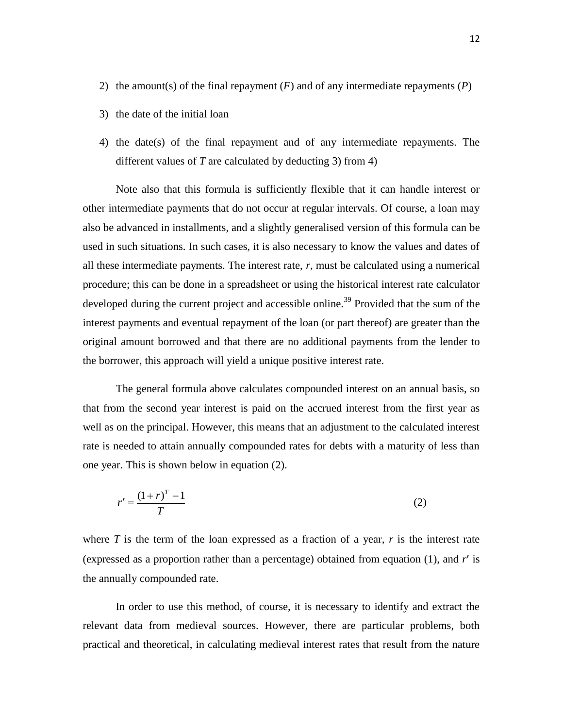- 2) the amount(s) of the final repayment (*F*) and of any intermediate repayments (*P*)
- 3) the date of the initial loan
- 4) the date(s) of the final repayment and of any intermediate repayments. The different values of *T* are calculated by deducting 3) from 4)

Note also that this formula is sufficiently flexible that it can handle interest or other intermediate payments that do not occur at regular intervals. Of course, a loan may also be advanced in installments, and a slightly generalised version of this formula can be used in such situations. In such cases, it is also necessary to know the values and dates of all these intermediate payments. The interest rate, *r*, must be calculated using a numerical procedure; this can be done in a spreadsheet or using the historical interest rate calculator developed during the current project and accessible online.<sup>39</sup> Provided that the sum of the interest payments and eventual repayment of the loan (or part thereof) are greater than the original amount borrowed and that there are no additional payments from the lender to the borrower, this approach will yield a unique positive interest rate.

The general formula above calculates compounded interest on an annual basis, so that from the second year interest is paid on the accrued interest from the first year as well as on the principal. However, this means that an adjustment to the calculated interest rate is needed to attain annually compounded rates for debts with a maturity of less than one year. This is shown below in equation (2).

$$
r' = \frac{\left(1+r\right)^{T} - 1}{T} \tag{2}
$$

where *T* is the term of the loan expressed as a fraction of a year, *r* is the interest rate (expressed as a proportion rather than a percentage) obtained from equation (1), and *r* is the annually compounded rate.

In order to use this method, of course, it is necessary to identify and extract the relevant data from medieval sources. However, there are particular problems, both practical and theoretical, in calculating medieval interest rates that result from the nature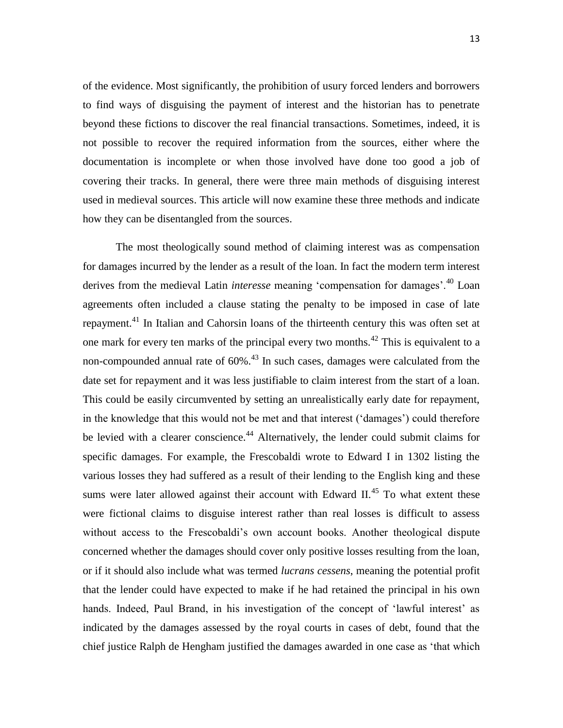of the evidence. Most significantly, the prohibition of usury forced lenders and borrowers to find ways of disguising the payment of interest and the historian has to penetrate beyond these fictions to discover the real financial transactions. Sometimes, indeed, it is not possible to recover the required information from the sources, either where the documentation is incomplete or when those involved have done too good a job of covering their tracks. In general, there were three main methods of disguising interest used in medieval sources. This article will now examine these three methods and indicate how they can be disentangled from the sources.

The most theologically sound method of claiming interest was as compensation for damages incurred by the lender as a result of the loan. In fact the modern term interest derives from the medieval Latin *interesse* meaning 'compensation for damages'.<sup>40</sup> Loan agreements often included a clause stating the penalty to be imposed in case of late repayment.<sup>41</sup> In Italian and Cahorsin loans of the thirteenth century this was often set at one mark for every ten marks of the principal every two months.<sup>42</sup> This is equivalent to a non-compounded annual rate of  $60\%$ <sup>43</sup>. In such cases, damages were calculated from the date set for repayment and it was less justifiable to claim interest from the start of a loan. This could be easily circumvented by setting an unrealistically early date for repayment, in the knowledge that this would not be met and that interest ('damages') could therefore be levied with a clearer conscience.<sup>44</sup> Alternatively, the lender could submit claims for specific damages. For example, the Frescobaldi wrote to Edward I in 1302 listing the various losses they had suffered as a result of their lending to the English king and these sums were later allowed against their account with Edward II.<sup>45</sup> To what extent these were fictional claims to disguise interest rather than real losses is difficult to assess without access to the Frescobaldi's own account books. Another theological dispute concerned whether the damages should cover only positive losses resulting from the loan, or if it should also include what was termed *lucrans cessens*, meaning the potential profit that the lender could have expected to make if he had retained the principal in his own hands. Indeed, Paul Brand, in his investigation of the concept of 'lawful interest' as indicated by the damages assessed by the royal courts in cases of debt, found that the chief justice Ralph de Hengham justified the damages awarded in one case as 'that which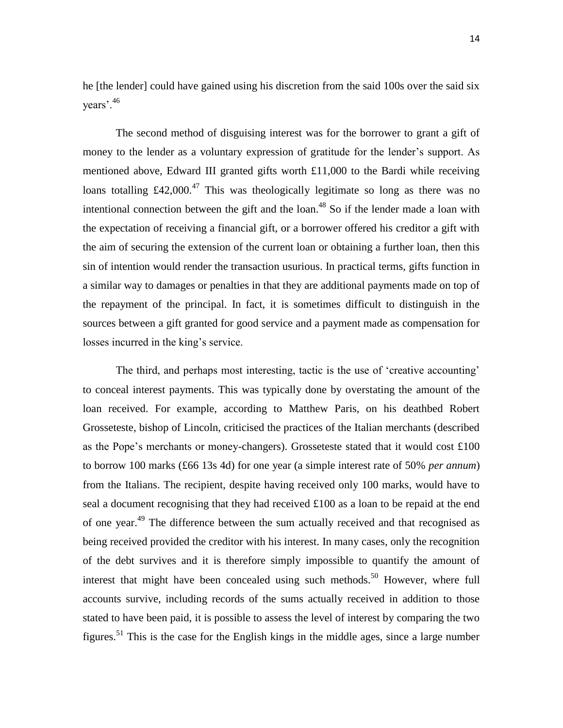he [the lender] could have gained using his discretion from the said 100s over the said six years'.<sup>46</sup>

The second method of disguising interest was for the borrower to grant a gift of money to the lender as a voluntary expression of gratitude for the lender's support. As mentioned above, Edward III granted gifts worth £11,000 to the Bardi while receiving loans totalling  $\text{\pounds}42,000$ .<sup>47</sup> This was theologically legitimate so long as there was no intentional connection between the gift and the loan.<sup>48</sup> So if the lender made a loan with the expectation of receiving a financial gift, or a borrower offered his creditor a gift with the aim of securing the extension of the current loan or obtaining a further loan, then this sin of intention would render the transaction usurious. In practical terms, gifts function in a similar way to damages or penalties in that they are additional payments made on top of the repayment of the principal. In fact, it is sometimes difficult to distinguish in the sources between a gift granted for good service and a payment made as compensation for losses incurred in the king's service.

The third, and perhaps most interesting, tactic is the use of 'creative accounting' to conceal interest payments. This was typically done by overstating the amount of the loan received. For example, according to Matthew Paris, on his deathbed Robert Grosseteste, bishop of Lincoln, criticised the practices of the Italian merchants (described as the Pope's merchants or money-changers). Grosseteste stated that it would cost £100 to borrow 100 marks (£66 13s 4d) for one year (a simple interest rate of 50% *per annum*) from the Italians. The recipient, despite having received only 100 marks, would have to seal a document recognising that they had received £100 as a loan to be repaid at the end of one year.<sup>49</sup> The difference between the sum actually received and that recognised as being received provided the creditor with his interest. In many cases, only the recognition of the debt survives and it is therefore simply impossible to quantify the amount of interest that might have been concealed using such methods.<sup>50</sup> However, where full accounts survive, including records of the sums actually received in addition to those stated to have been paid, it is possible to assess the level of interest by comparing the two figures.<sup>51</sup> This is the case for the English kings in the middle ages, since a large number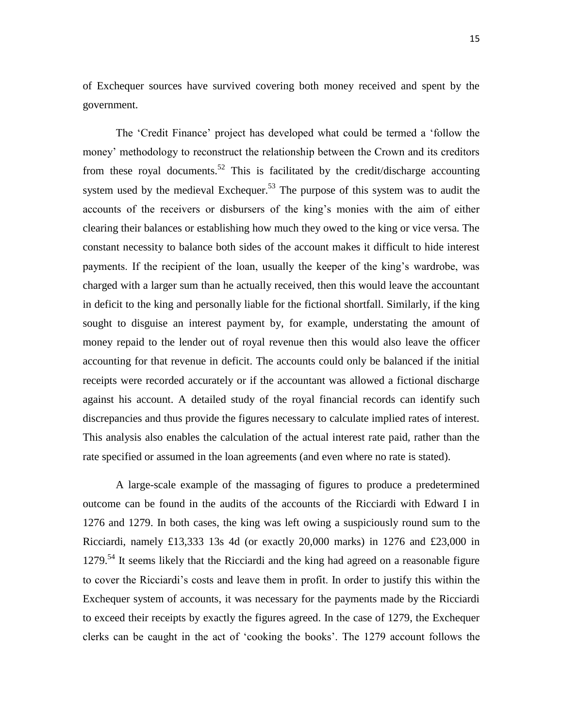of Exchequer sources have survived covering both money received and spent by the government.

The 'Credit Finance' project has developed what could be termed a 'follow the money' methodology to reconstruct the relationship between the Crown and its creditors from these royal documents.<sup>52</sup> This is facilitated by the credit/discharge accounting system used by the medieval Exchequer.<sup>53</sup> The purpose of this system was to audit the accounts of the receivers or disbursers of the king's monies with the aim of either clearing their balances or establishing how much they owed to the king or vice versa. The constant necessity to balance both sides of the account makes it difficult to hide interest payments. If the recipient of the loan, usually the keeper of the king's wardrobe, was charged with a larger sum than he actually received, then this would leave the accountant in deficit to the king and personally liable for the fictional shortfall. Similarly, if the king sought to disguise an interest payment by, for example, understating the amount of money repaid to the lender out of royal revenue then this would also leave the officer accounting for that revenue in deficit. The accounts could only be balanced if the initial receipts were recorded accurately or if the accountant was allowed a fictional discharge against his account. A detailed study of the royal financial records can identify such discrepancies and thus provide the figures necessary to calculate implied rates of interest. This analysis also enables the calculation of the actual interest rate paid, rather than the rate specified or assumed in the loan agreements (and even where no rate is stated).

A large-scale example of the massaging of figures to produce a predetermined outcome can be found in the audits of the accounts of the Ricciardi with Edward I in 1276 and 1279. In both cases, the king was left owing a suspiciously round sum to the Ricciardi, namely £13,333 13s 4d (or exactly 20,000 marks) in 1276 and £23,000 in  $1279$ .<sup>54</sup> It seems likely that the Ricciardi and the king had agreed on a reasonable figure to cover the Ricciardi's costs and leave them in profit. In order to justify this within the Exchequer system of accounts, it was necessary for the payments made by the Ricciardi to exceed their receipts by exactly the figures agreed. In the case of 1279, the Exchequer clerks can be caught in the act of 'cooking the books'. The 1279 account follows the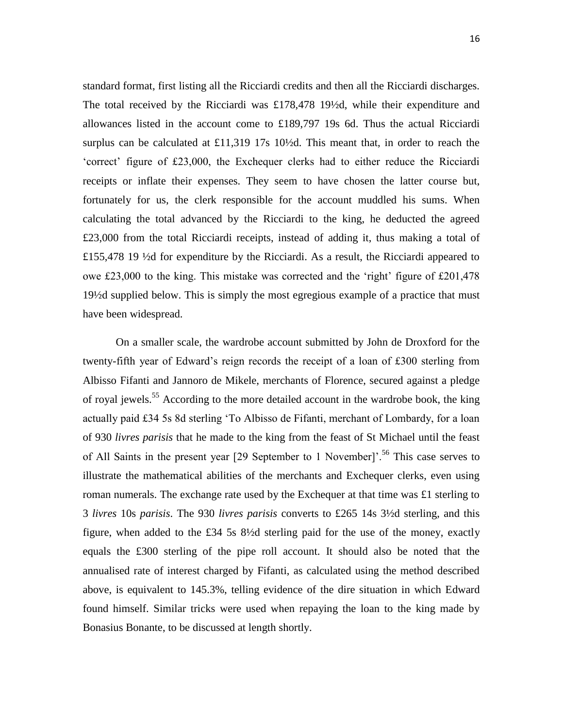standard format, first listing all the Ricciardi credits and then all the Ricciardi discharges. The total received by the Ricciardi was £178,478 19½d, while their expenditure and allowances listed in the account come to £189,797 19s 6d. Thus the actual Ricciardi surplus can be calculated at £11,319 17s 10½d. This meant that, in order to reach the 'correct' figure of £23,000, the Exchequer clerks had to either reduce the Ricciardi receipts or inflate their expenses. They seem to have chosen the latter course but, fortunately for us, the clerk responsible for the account muddled his sums. When calculating the total advanced by the Ricciardi to the king, he deducted the agreed £23,000 from the total Ricciardi receipts, instead of adding it, thus making a total of £155,478 19 ½d for expenditure by the Ricciardi. As a result, the Ricciardi appeared to owe £23,000 to the king. This mistake was corrected and the 'right' figure of £201,478 19½d supplied below. This is simply the most egregious example of a practice that must have been widespread.

On a smaller scale, the wardrobe account submitted by John de Droxford for the twenty-fifth year of Edward's reign records the receipt of a loan of £300 sterling from Albisso Fifanti and Jannoro de Mikele, merchants of Florence, secured against a pledge of royal jewels.<sup>55</sup> According to the more detailed account in the wardrobe book, the king actually paid £34 5s 8d sterling 'To Albisso de Fifanti, merchant of Lombardy, for a loan of 930 *livres parisis* that he made to the king from the feast of St Michael until the feast of All Saints in the present year  $[29$  September to 1 November]'.<sup>56</sup> This case serves to illustrate the mathematical abilities of the merchants and Exchequer clerks, even using roman numerals. The exchange rate used by the Exchequer at that time was £1 sterling to 3 *livres* 10s *parisis*. The 930 *livres parisis* converts to £265 14s 3½d sterling, and this figure, when added to the £34 5s 8½d sterling paid for the use of the money, exactly equals the £300 sterling of the pipe roll account. It should also be noted that the annualised rate of interest charged by Fifanti, as calculated using the method described above, is equivalent to 145.3%, telling evidence of the dire situation in which Edward found himself. Similar tricks were used when repaying the loan to the king made by Bonasius Bonante, to be discussed at length shortly.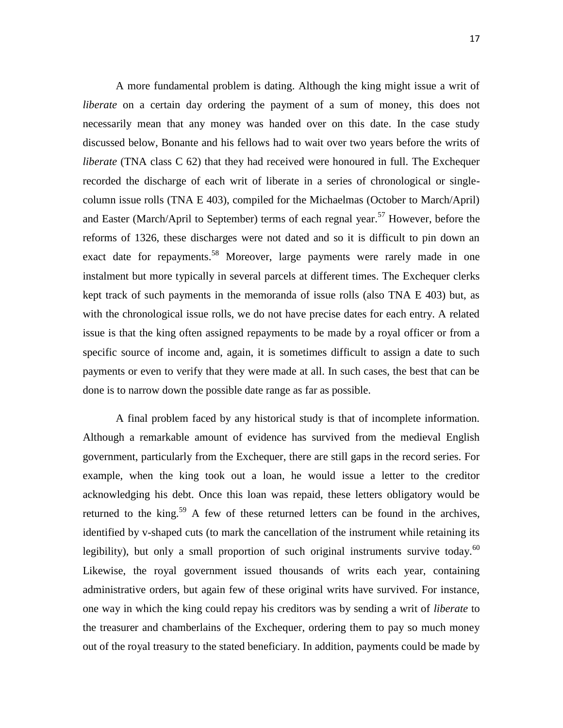A more fundamental problem is dating. Although the king might issue a writ of *liberate* on a certain day ordering the payment of a sum of money, this does not necessarily mean that any money was handed over on this date. In the case study discussed below, Bonante and his fellows had to wait over two years before the writs of *liberate* (TNA class C 62) that they had received were honoured in full. The Exchequer recorded the discharge of each writ of liberate in a series of chronological or singlecolumn issue rolls (TNA E 403), compiled for the Michaelmas (October to March/April) and Easter (March/April to September) terms of each regnal year.<sup>57</sup> However, before the reforms of 1326, these discharges were not dated and so it is difficult to pin down an exact date for repayments.<sup>58</sup> Moreover, large payments were rarely made in one instalment but more typically in several parcels at different times. The Exchequer clerks kept track of such payments in the memoranda of issue rolls (also TNA E 403) but, as with the chronological issue rolls, we do not have precise dates for each entry. A related issue is that the king often assigned repayments to be made by a royal officer or from a specific source of income and, again, it is sometimes difficult to assign a date to such payments or even to verify that they were made at all. In such cases, the best that can be done is to narrow down the possible date range as far as possible.

A final problem faced by any historical study is that of incomplete information. Although a remarkable amount of evidence has survived from the medieval English government, particularly from the Exchequer, there are still gaps in the record series. For example, when the king took out a loan, he would issue a letter to the creditor acknowledging his debt. Once this loan was repaid, these letters obligatory would be returned to the king.<sup>59</sup> A few of these returned letters can be found in the archives, identified by v-shaped cuts (to mark the cancellation of the instrument while retaining its legibility), but only a small proportion of such original instruments survive today.  $60$ Likewise, the royal government issued thousands of writs each year, containing administrative orders, but again few of these original writs have survived. For instance, one way in which the king could repay his creditors was by sending a writ of *liberate* to the treasurer and chamberlains of the Exchequer, ordering them to pay so much money out of the royal treasury to the stated beneficiary. In addition, payments could be made by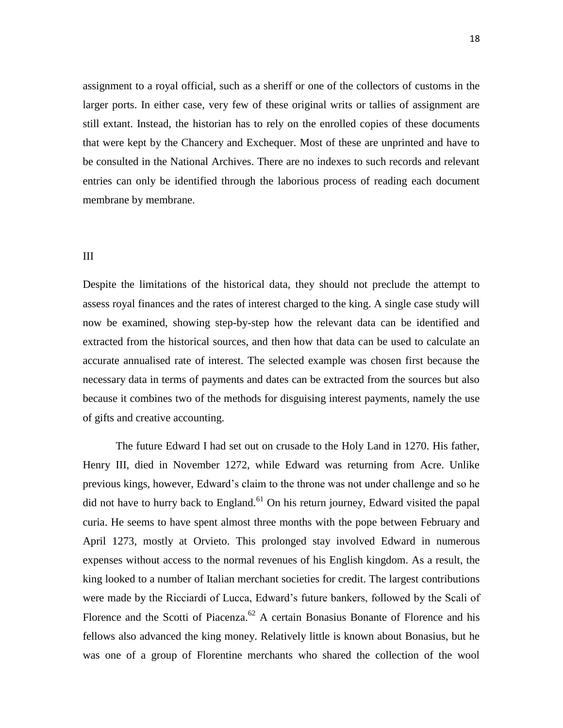assignment to a royal official, such as a sheriff or one of the collectors of customs in the larger ports. In either case, very few of these original writs or tallies of assignment are still extant. Instead, the historian has to rely on the enrolled copies of these documents that were kept by the Chancery and Exchequer. Most of these are unprinted and have to be consulted in the National Archives. There are no indexes to such records and relevant entries can only be identified through the laborious process of reading each document membrane by membrane.

#### III

Despite the limitations of the historical data, they should not preclude the attempt to assess royal finances and the rates of interest charged to the king. A single case study will now be examined, showing step-by-step how the relevant data can be identified and extracted from the historical sources, and then how that data can be used to calculate an accurate annualised rate of interest. The selected example was chosen first because the necessary data in terms of payments and dates can be extracted from the sources but also because it combines two of the methods for disguising interest payments, namely the use of gifts and creative accounting.

The future Edward I had set out on crusade to the Holy Land in 1270. His father, Henry III, died in November 1272, while Edward was returning from Acre. Unlike previous kings, however, Edward's claim to the throne was not under challenge and so he did not have to hurry back to England.<sup>61</sup> On his return journey, Edward visited the papal curia. He seems to have spent almost three months with the pope between February and April 1273, mostly at Orvieto. This prolonged stay involved Edward in numerous expenses without access to the normal revenues of his English kingdom. As a result, the king looked to a number of Italian merchant societies for credit. The largest contributions were made by the Ricciardi of Lucca, Edward's future bankers, followed by the Scali of Florence and the Scotti of Piacenza.<sup>62</sup> A certain Bonasius Bonante of Florence and his fellows also advanced the king money. Relatively little is known about Bonasius, but he was one of a group of Florentine merchants who shared the collection of the wool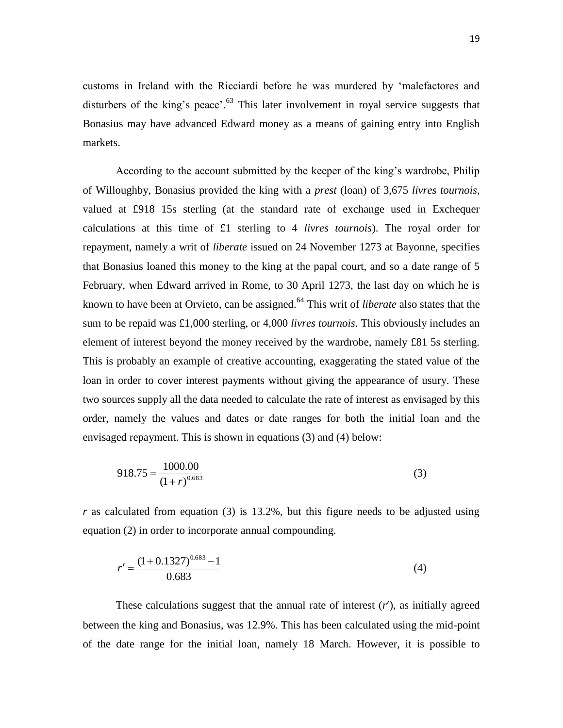customs in Ireland with the Ricciardi before he was murdered by 'malefactores and disturbers of the king's peace'. $63$  This later involvement in royal service suggests that Bonasius may have advanced Edward money as a means of gaining entry into English markets.

According to the account submitted by the keeper of the king's wardrobe, Philip of Willoughby, Bonasius provided the king with a *prest* (loan) of 3,675 *livres tournois*, valued at £918 15s sterling (at the standard rate of exchange used in Exchequer calculations at this time of £1 sterling to 4 *livres tournois*). The royal order for repayment, namely a writ of *liberate* issued on 24 November 1273 at Bayonne, specifies that Bonasius loaned this money to the king at the papal court, and so a date range of 5 February, when Edward arrived in Rome, to 30 April 1273, the last day on which he is known to have been at Orvieto, can be assigned.<sup>64</sup> This writ of *liberate* also states that the sum to be repaid was £1,000 sterling, or 4,000 *livres tournois*. This obviously includes an element of interest beyond the money received by the wardrobe, namely £81 5s sterling. This is probably an example of creative accounting, exaggerating the stated value of the loan in order to cover interest payments without giving the appearance of usury. These two sources supply all the data needed to calculate the rate of interest as envisaged by this order, namely the values and dates or date ranges for both the initial loan and the envisaged repayment. This is shown in equations (3) and (4) below:

$$
918.75 = \frac{1000.00}{(1+r)^{0.683}}
$$
(3)

*r* as calculated from equation (3) is 13.2%, but this figure needs to be adjusted using equation (2) in order to incorporate annual compounding.

$$
r' = \frac{(1 + 0.1327)^{0.683} - 1}{0.683}
$$
 (4)

These calculations suggest that the annual rate of interest (*r*), as initially agreed between the king and Bonasius, was 12.9%. This has been calculated using the mid-point of the date range for the initial loan, namely 18 March. However, it is possible to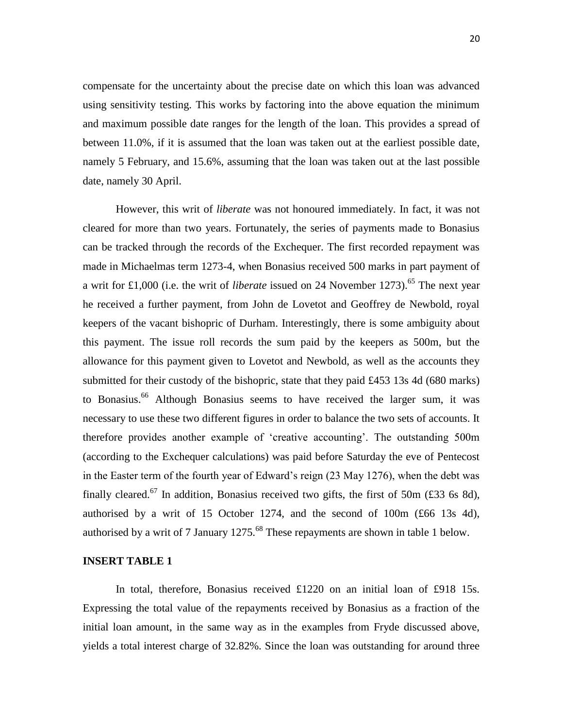compensate for the uncertainty about the precise date on which this loan was advanced using sensitivity testing. This works by factoring into the above equation the minimum and maximum possible date ranges for the length of the loan. This provides a spread of between 11.0%, if it is assumed that the loan was taken out at the earliest possible date, namely 5 February, and 15.6%, assuming that the loan was taken out at the last possible date, namely 30 April.

However, this writ of *liberate* was not honoured immediately. In fact, it was not cleared for more than two years. Fortunately, the series of payments made to Bonasius can be tracked through the records of the Exchequer. The first recorded repayment was made in Michaelmas term 1273-4, when Bonasius received 500 marks in part payment of a writ for £1,000 (i.e. the writ of *liberate* issued on 24 November 1273).<sup>65</sup> The next year he received a further payment, from John de Lovetot and Geoffrey de Newbold, royal keepers of the vacant bishopric of Durham. Interestingly, there is some ambiguity about this payment. The issue roll records the sum paid by the keepers as 500m, but the allowance for this payment given to Lovetot and Newbold, as well as the accounts they submitted for their custody of the bishopric, state that they paid £453 13s 4d (680 marks) to Bonasius.<sup>66</sup> Although Bonasius seems to have received the larger sum, it was necessary to use these two different figures in order to balance the two sets of accounts. It therefore provides another example of 'creative accounting'. The outstanding 500m (according to the Exchequer calculations) was paid before Saturday the eve of Pentecost in the Easter term of the fourth year of Edward's reign (23 May 1276), when the debt was finally cleared.<sup>67</sup> In addition, Bonasius received two gifts, the first of 50m (£33 6s 8d), authorised by a writ of 15 October 1274, and the second of 100m (£66 13s 4d), authorised by a writ of 7 January 1275.<sup>68</sup> These repayments are shown in table 1 below.

#### **INSERT TABLE 1**

In total, therefore, Bonasius received £1220 on an initial loan of £918 15s. Expressing the total value of the repayments received by Bonasius as a fraction of the initial loan amount, in the same way as in the examples from Fryde discussed above, yields a total interest charge of 32.82%. Since the loan was outstanding for around three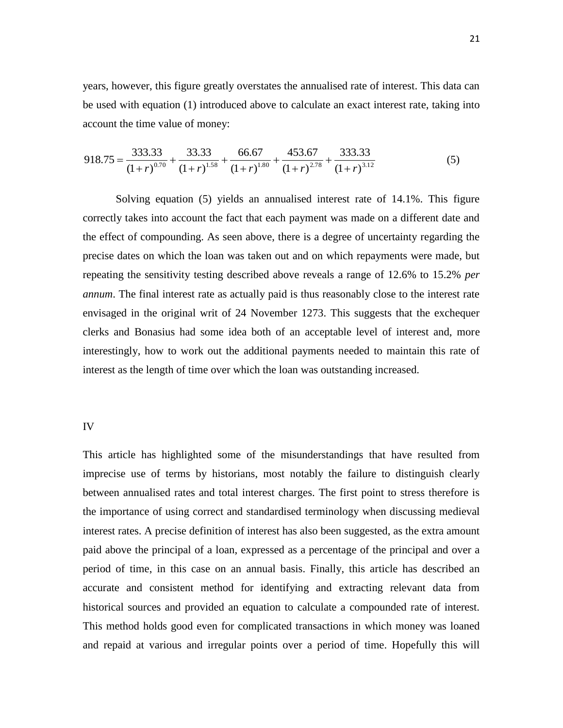years, however, this figure greatly overstates the annualised rate of interest. This data can be used with equation (1) introduced above to calculate an exact interest rate, taking into account the time value of money:

$$
918.75 = \frac{333.33}{(1+r)^{0.70}} + \frac{33.33}{(1+r)^{1.58}} + \frac{66.67}{(1+r)^{1.80}} + \frac{453.67}{(1+r)^{2.78}} + \frac{333.33}{(1+r)^{3.12}}
$$
(5)

Solving equation (5) yields an annualised interest rate of 14.1%. This figure correctly takes into account the fact that each payment was made on a different date and the effect of compounding. As seen above, there is a degree of uncertainty regarding the precise dates on which the loan was taken out and on which repayments were made, but repeating the sensitivity testing described above reveals a range of 12.6% to 15.2% *per annum*. The final interest rate as actually paid is thus reasonably close to the interest rate envisaged in the original writ of 24 November 1273. This suggests that the exchequer clerks and Bonasius had some idea both of an acceptable level of interest and, more interestingly, how to work out the additional payments needed to maintain this rate of interest as the length of time over which the loan was outstanding increased.

#### IV

This article has highlighted some of the misunderstandings that have resulted from imprecise use of terms by historians, most notably the failure to distinguish clearly between annualised rates and total interest charges. The first point to stress therefore is the importance of using correct and standardised terminology when discussing medieval interest rates. A precise definition of interest has also been suggested, as the extra amount paid above the principal of a loan, expressed as a percentage of the principal and over a period of time, in this case on an annual basis. Finally, this article has described an accurate and consistent method for identifying and extracting relevant data from historical sources and provided an equation to calculate a compounded rate of interest. This method holds good even for complicated transactions in which money was loaned and repaid at various and irregular points over a period of time. Hopefully this will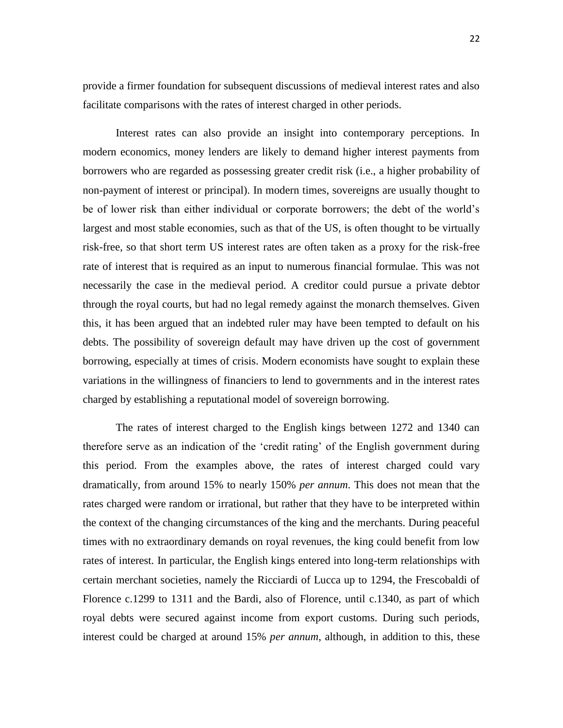22

provide a firmer foundation for subsequent discussions of medieval interest rates and also facilitate comparisons with the rates of interest charged in other periods.

Interest rates can also provide an insight into contemporary perceptions. In modern economics, money lenders are likely to demand higher interest payments from borrowers who are regarded as possessing greater credit risk (i.e., a higher probability of non-payment of interest or principal). In modern times, sovereigns are usually thought to be of lower risk than either individual or corporate borrowers; the debt of the world's largest and most stable economies, such as that of the US, is often thought to be virtually risk-free, so that short term US interest rates are often taken as a proxy for the risk-free rate of interest that is required as an input to numerous financial formulae. This was not necessarily the case in the medieval period. A creditor could pursue a private debtor through the royal courts, but had no legal remedy against the monarch themselves. Given this, it has been argued that an indebted ruler may have been tempted to default on his debts. The possibility of sovereign default may have driven up the cost of government borrowing, especially at times of crisis. Modern economists have sought to explain these variations in the willingness of financiers to lend to governments and in the interest rates charged by establishing a reputational model of sovereign borrowing.

The rates of interest charged to the English kings between 1272 and 1340 can therefore serve as an indication of the 'credit rating' of the English government during this period. From the examples above, the rates of interest charged could vary dramatically, from around 15% to nearly 150% *per annum*. This does not mean that the rates charged were random or irrational, but rather that they have to be interpreted within the context of the changing circumstances of the king and the merchants. During peaceful times with no extraordinary demands on royal revenues, the king could benefit from low rates of interest. In particular, the English kings entered into long-term relationships with certain merchant societies, namely the Ricciardi of Lucca up to 1294, the Frescobaldi of Florence c.1299 to 1311 and the Bardi, also of Florence, until c.1340, as part of which royal debts were secured against income from export customs. During such periods, interest could be charged at around 15% *per annum*, although, in addition to this, these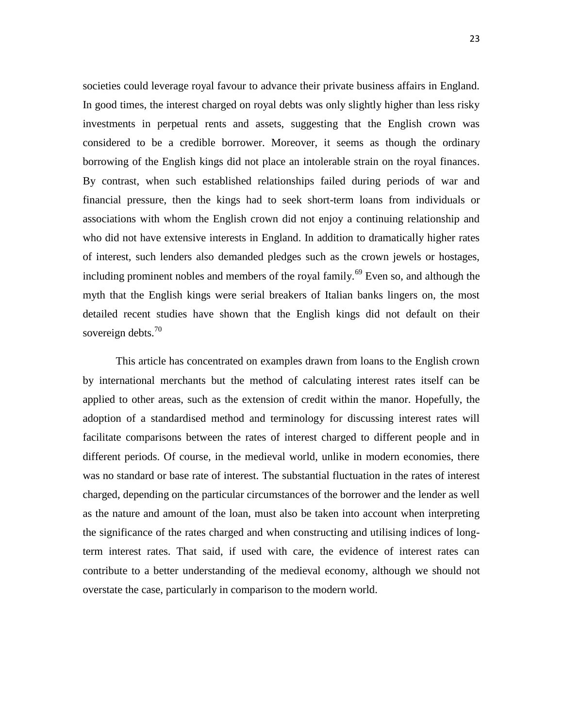societies could leverage royal favour to advance their private business affairs in England. In good times, the interest charged on royal debts was only slightly higher than less risky investments in perpetual rents and assets, suggesting that the English crown was considered to be a credible borrower. Moreover, it seems as though the ordinary borrowing of the English kings did not place an intolerable strain on the royal finances. By contrast, when such established relationships failed during periods of war and financial pressure, then the kings had to seek short-term loans from individuals or associations with whom the English crown did not enjoy a continuing relationship and who did not have extensive interests in England. In addition to dramatically higher rates of interest, such lenders also demanded pledges such as the crown jewels or hostages, including prominent nobles and members of the royal family.<sup>69</sup> Even so, and although the myth that the English kings were serial breakers of Italian banks lingers on, the most detailed recent studies have shown that the English kings did not default on their sovereign debts. $70$ 

This article has concentrated on examples drawn from loans to the English crown by international merchants but the method of calculating interest rates itself can be applied to other areas, such as the extension of credit within the manor. Hopefully, the adoption of a standardised method and terminology for discussing interest rates will facilitate comparisons between the rates of interest charged to different people and in different periods. Of course, in the medieval world, unlike in modern economies, there was no standard or base rate of interest. The substantial fluctuation in the rates of interest charged, depending on the particular circumstances of the borrower and the lender as well as the nature and amount of the loan, must also be taken into account when interpreting the significance of the rates charged and when constructing and utilising indices of longterm interest rates. That said, if used with care, the evidence of interest rates can contribute to a better understanding of the medieval economy, although we should not overstate the case, particularly in comparison to the modern world.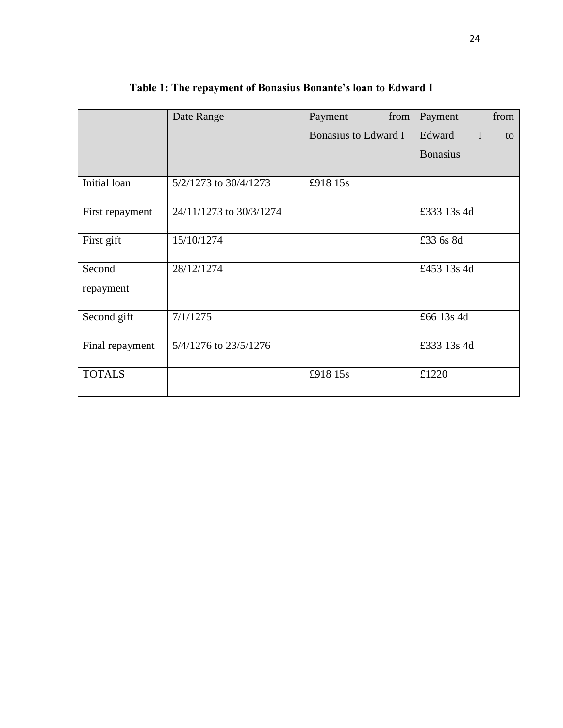|                 | Date Range              | from<br>Payment      | from<br>Payment             |
|-----------------|-------------------------|----------------------|-----------------------------|
|                 |                         | Bonasius to Edward I | Edward<br>$\mathbf I$<br>to |
|                 |                         |                      | <b>Bonasius</b>             |
|                 |                         |                      |                             |
| Initial loan    | 5/2/1273 to 30/4/1273   | £918 15s             |                             |
| First repayment | 24/11/1273 to 30/3/1274 |                      | £333 13s 4d                 |
| First gift      | 15/10/1274              |                      | £33 6s 8d                   |
| Second          | 28/12/1274              |                      | £453 13s 4d                 |
| repayment       |                         |                      |                             |
| Second gift     | 7/1/1275                |                      | £66 13s 4d                  |
| Final repayment | 5/4/1276 to 23/5/1276   |                      | £333 13s 4d                 |
| <b>TOTALS</b>   |                         | £918 15s             | £1220                       |

**Table 1: The repayment of Bonasius Bonante's loan to Edward I**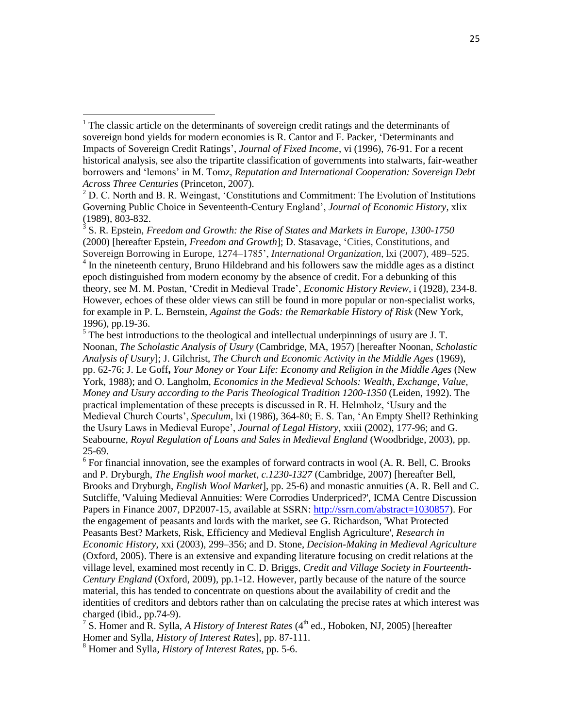$\overline{\phantom{a}}$ 

3 S. R. Epstein, *Freedom and Growth: the Rise of States and Markets in Europe, 1300-1750*  (2000) [hereafter Epstein, *Freedom and Growth*]; D. Stasavage, 'Cities, Constitutions, and Sovereign Borrowing in Europe, 1274–1785', *International Organization*, lxi (2007), 489–525. <sup>4</sup> In the nineteenth century, Bruno Hildebrand and his followers saw the middle ages as a distinct epoch distinguished from modern economy by the absence of credit. For a debunking of this theory, see M. M. Postan, 'Credit in Medieval Trade', *Economic History Review*, i (1928), 234-8. However, echoes of these older views can still be found in more popular or non-specialist works, for example in P. L. Bernstein, *Against the Gods: the Remarkable History of Risk* (New York, 1996), pp.19-36.

 $<sup>5</sup>$  The best introductions to the theological and intellectual underpinnings of usury are J. T.</sup> Noonan, *The Scholastic Analysis of Usury* (Cambridge, MA, 1957) [hereafter Noonan, *Scholastic Analysis of Usury*]; J. Gilchrist, *The Church and Economic Activity in the Middle Ages* (1969), pp. 62-76; J. Le Goff**,** *Your Money or Your Life: Economy and Religion in the Middle Ages* (New York, 1988); and O. Langholm, *Economics in the Medieval Schools: Wealth, Exchange, Value, Money and Usury according to the Paris Theological Tradition 1200-1350* (Leiden, 1992). The practical implementation of these precepts is discussed in R. H. Helmholz, 'Usury and the Medieval Church Courts', *Speculum*, lxi (1986), 364-80; E. S. Tan, 'An Empty Shell? Rethinking the Usury Laws in Medieval Europe', *Journal of Legal History*, xxiii (2002), 177-96; and G. Seabourne, *Royal Regulation of Loans and Sales in Medieval England* (Woodbridge, 2003), pp. 25-69.

<sup>6</sup> For financial innovation, see the examples of forward contracts in wool (A. R. Bell, C. Brooks and P. Dryburgh, *The English wool market, c.1230-1327* (Cambridge, 2007) [hereafter Bell, Brooks and Dryburgh, *English Wool Market*], pp. 25-6) and monastic annuities (A. R. Bell and C. Sutcliffe, 'Valuing Medieval Annuities: Were Corrodies Underpriced?', ICMA Centre Discussion Papers in Finance 2007, DP2007-15, available at SSRN: [http://ssrn.com/abstract=1030857\)](http://ssrn.com/abstract=1030857). For the engagement of peasants and lords with the market, see G. Richardson, 'What Protected Peasants Best? Markets, Risk, Efficiency and Medieval English Agriculture', *Research in Economic History*, xxi (2003), 299–356; and D. Stone, *Decision-Making in Medieval Agriculture* (Oxford, 2005). There is an extensive and expanding literature focusing on credit relations at the village level, examined most recently in C. D. Briggs, *Credit and Village Society in Fourteenth-Century England* (Oxford, 2009), pp.1-12. However, partly because of the nature of the source material, this has tended to concentrate on questions about the availability of credit and the identities of creditors and debtors rather than on calculating the precise rates at which interest was charged (ibid., pp.74-9).

<sup>7</sup> S. Homer and R. Sylla, *A History of Interest Rates* ( $4<sup>th</sup>$  ed., Hoboken, NJ, 2005) [hereafter Homer and Sylla, *History of Interest Rates*], pp. 87-111.

<sup>8</sup> Homer and Sylla, *History of Interest Rates*, pp. 5-6.

<sup>&</sup>lt;sup>1</sup> The classic article on the determinants of sovereign credit ratings and the determinants of sovereign bond yields for modern economies is R. Cantor and F. Packer, 'Determinants and Impacts of Sovereign Credit Ratings', *Journal of Fixed Income*, vi (1996), 76-91. For a recent historical analysis, see also the tripartite classification of governments into stalwarts, fair-weather borrowers and 'lemons' in M. Tomz, *Reputation and International Cooperation: Sovereign Debt Across Three Centuries* (Princeton, 2007).

 $2$  D. C. North and B. R. Weingast, 'Constitutions and Commitment: The Evolution of Institutions Governing Public Choice in Seventeenth-Century England', *Journal of Economic History*, xlix (1989), 803-832.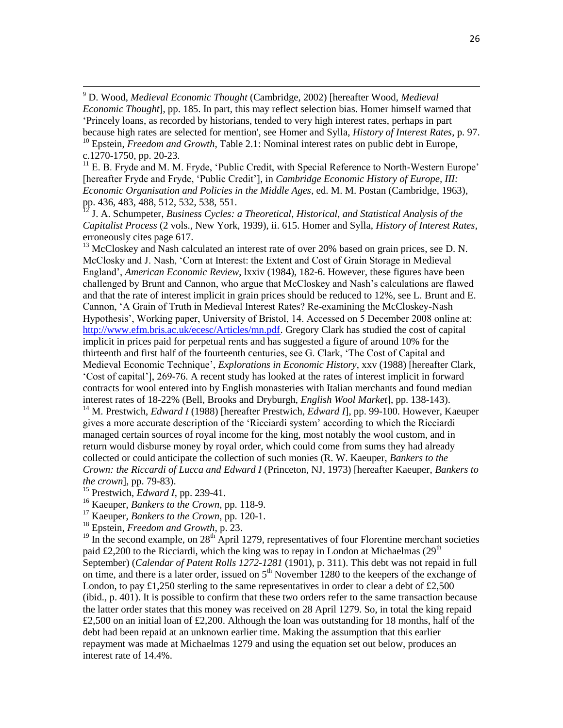<sup>9</sup> D. Wood, *Medieval Economic Thought* (Cambridge, 2002) [hereafter Wood, *Medieval Economic Thought*], pp. 185. In part, this may reflect selection bias. Homer himself warned that 'Princely loans, as recorded by historians, tended to very high interest rates, perhaps in part because high rates are selected for mention', see Homer and Sylla, *History of Interest Rates*, p. 97.

<sup>10</sup> Epstein, *Freedom and Growth*, Table 2.1: Nominal interest rates on public debt in Europe, c.1270-1750, pp. 20-23.

 $<sup>11</sup>$  E. B. Fryde and M. M. Fryde, 'Public Credit, with Special Reference to North-Western Europe'</sup> [hereafter Fryde and Fryde, 'Public Credit'], in *Cambridge Economic History of Europe, III: Economic Organisation and Policies in the Middle Ages*, ed. M. M. Postan (Cambridge, 1963), pp. 436, 483, 488, 512, 532, 538, 551.

<sup>12</sup> J. A. Schumpeter, *Business Cycles: a Theoretical, Historical, and Statistical Analysis of the Capitalist Process* (2 vols., New York, 1939), ii. 615. Homer and Sylla, *History of Interest Rates*, erroneously cites page 617.

 $13$  McCloskey and Nash calculated an interest rate of over 20% based on grain prices, see D. N. McClosky and J. Nash, 'Corn at Interest: the Extent and Cost of Grain Storage in Medieval England', *American Economic Review*, lxxiv (1984), 182-6. However, these figures have been challenged by Brunt and Cannon, who argue that McCloskey and Nash's calculations are flawed and that the rate of interest implicit in grain prices should be reduced to 12%, see L. Brunt and E. Cannon, 'A Grain of Truth in Medieval Interest Rates? Re-examining the McCloskey-Nash Hypothesis', Working paper, University of Bristol, 14. Accessed on 5 December 2008 online at: [http://www.efm.bris.ac.uk/ecesc/Articles/mn.pdf.](http://www.efm.bris.ac.uk/ecesc/Articles/mn.pdf) Gregory Clark has studied the cost of capital implicit in prices paid for perpetual rents and has suggested a figure of around 10% for the thirteenth and first half of the fourteenth centuries, see G. Clark, 'The Cost of Capital and Medieval Economic Technique', *Explorations in Economic History*, xxv (1988) [hereafter Clark, 'Cost of capital'], 269-76. A recent study has looked at the rates of interest implicit in forward contracts for wool entered into by English monasteries with Italian merchants and found median interest rates of 18-22% (Bell, Brooks and Dryburgh, *English Wool Market*], pp. 138-143).

<sup>14</sup> M. Prestwich, *Edward I* (1988) [hereafter Prestwich, *Edward I*], pp. 99-100. However, Kaeuper gives a more accurate description of the 'Ricciardi system' according to which the Ricciardi managed certain sources of royal income for the king, most notably the wool custom, and in return would disburse money by royal order, which could come from sums they had already collected or could anticipate the collection of such monies (R. W. Kaeuper, *Bankers to the Crown: the Riccardi of Lucca and Edward I* (Princeton, NJ, 1973) [hereafter Kaeuper, *Bankers to the crown*], pp. 79-83).

<sup>15</sup> Prestwich, *Edward I*, pp. 239-41.

 $\overline{a}$ 

<sup>16</sup> Kaeuper, *Bankers to the Crown*, pp. 118-9.

<sup>17</sup> Kaeuper, *Bankers to the Crown*, pp. 120-1.

<sup>18</sup> Epstein, *Freedom and Growth*, p. 23.

 $19 \text{ In the second example, on } 28^{\text{th}}$  April 1279, representatives of four Florentine merchant societies paid £2,200 to the Ricciardi, which the king was to repay in London at Michaelmas ( $29<sup>th</sup>$ September) (*Calendar of Patent Rolls 1272-1281* (1901), p. 311). This debt was not repaid in full on time, and there is a later order, issued on  $5<sup>th</sup>$  November 1280 to the keepers of the exchange of London, to pay £1,250 sterling to the same representatives in order to clear a debt of £2,500 (ibid., p. 401). It is possible to confirm that these two orders refer to the same transaction because the latter order states that this money was received on 28 April 1279. So, in total the king repaid £2,500 on an initial loan of £2,200. Although the loan was outstanding for 18 months, half of the debt had been repaid at an unknown earlier time. Making the assumption that this earlier repayment was made at Michaelmas 1279 and using the equation set out below, produces an interest rate of 14.4%.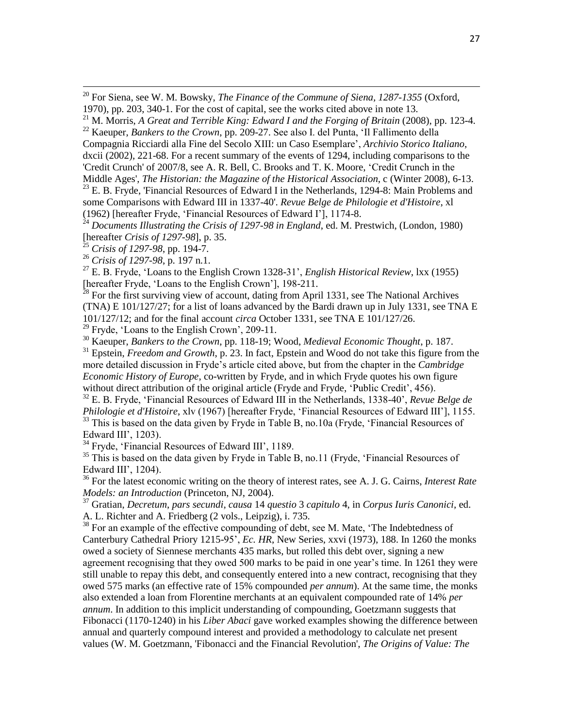<sup>20</sup> For Siena, see W. M. Bowsky, *The Finance of the Commune of Siena, 1287-1355* (Oxford, 1970), pp. 203, 340-1. For the cost of capital, see the works cited above in note 13.

Compagnia Ricciardi alla Fine del Secolo XIII: un Caso Esemplare', *Archivio Storico Italiano*, dxcii (2002), 221-68. For a recent summary of the events of 1294, including comparisons to the 'Credit Crunch' of 2007/8, see A. R. Bell, C. Brooks and T. K. Moore, 'Credit Crunch in the

Middle Ages', *The Historian: the Magazine of the Historical Association*, c (Winter 2008), 6-13.  $23$  E. B. Fryde, 'Financial Resources of Edward I in the Netherlands, 1294-8: Main Problems and some Comparisons with Edward III in 1337-40'. *Revue Belge de Philologie et d'Histoire*, xl (1962) [hereafter Fryde, 'Financial Resources of Edward I'], 1174-8.

<sup>24</sup> Documents Illustrating the Crisis of 1297-98 in England, ed. M. Prestwich, (London, 1980) [hereafter *Crisis of 1297-98*], p. 35.

<sup>25</sup> *Crisis of 1297-98*, pp. 194-7.

 $\overline{a}$ 

<sup>26</sup> *Crisis of 1297-98*, p. 197 n.1.

<sup>27</sup> E. B. Fryde, 'Loans to the English Crown 1328-31', *English Historical Review*, lxx (1955) [hereafter Fryde, 'Loans to the English Crown'], 198-211.

 $28$  For the first surviving view of account, dating from April 1331, see The National Archives (TNA) E 101/127/27; for a list of loans advanced by the Bardi drawn up in July 1331, see TNA E 101/127/12; and for the final account *circa* October 1331, see TNA E 101/127/26.

 $29$  Fryde, 'Loans to the English Crown', 209-11.

<sup>30</sup> Kaeuper, *Bankers to the Crown*, pp. 118-19; Wood, *Medieval Economic Thought*, p. 187.

<sup>31</sup> Epstein, *Freedom and Growth*, p. 23. In fact, Epstein and Wood do not take this figure from the more detailed discussion in Fryde's article cited above, but from the chapter in the *Cambridge Economic History of Europe*, co-written by Fryde, and in which Fryde quotes his own figure without direct attribution of the original article (Fryde and Fryde, 'Public Credit', 456).

<sup>32</sup> E. B. Fryde, 'Financial Resources of Edward III in the Netherlands, 1338-40', *Revue Belge de Philologie et d'Histoire*, xlv (1967) [hereafter Fryde, 'Financial Resources of Edward III'], 1155. <sup>33</sup> This is based on the data given by Fryde in Table B, no.10a (Fryde, 'Financial Resources of Edward III', 1203).

 $34$  Fryde, 'Financial Resources of Edward III', 1189.

<sup>35</sup> This is based on the data given by Fryde in Table B, no.11 (Fryde, 'Financial Resources of Edward III', 1204).

<sup>36</sup> For the latest economic writing on the theory of interest rates, see A. J. G. Cairns, *Interest Rate Models: an Introduction* (Princeton, NJ, 2004).

<sup>37</sup> Gratian, *Decretum*, *pars secundi*, *causa* 14 *questio* 3 *capitulo* 4, in *Corpus Iuris Canonici*, ed. A. L. Richter and A. Friedberg (2 vols., Leipzig), i. 735.

<sup>38</sup> For an example of the effective compounding of debt, see M. Mate, 'The Indebtedness of Canterbury Cathedral Priory 1215-95', *Ec. HR*, New Series, xxvi (1973), 188. In 1260 the monks owed a society of Siennese merchants 435 marks, but rolled this debt over, signing a new agreement recognising that they owed 500 marks to be paid in one year's time. In 1261 they were still unable to repay this debt, and consequently entered into a new contract, recognising that they owed 575 marks (an effective rate of 15% compounded *per annum*). At the same time, the monks also extended a loan from Florentine merchants at an equivalent compounded rate of 14% *per annum*. In addition to this implicit understanding of compounding, Goetzmann suggests that Fibonacci (1170-1240) in his *Liber Abaci* gave worked examples showing the difference between annual and quarterly compound interest and provided a methodology to calculate net present values (W. M. Goetzmann, 'Fibonacci and the Financial Revolution', *The Origins of Value: The* 

<sup>21</sup> M. Morris, *A Great and Terrible King: Edward I and the Forging of Britain* (2008), pp. 123-4. <sup>22</sup> Kaeuper, *Bankers to the Crown*, pp. 209-27. See also I. del Punta, 'Il Fallimento della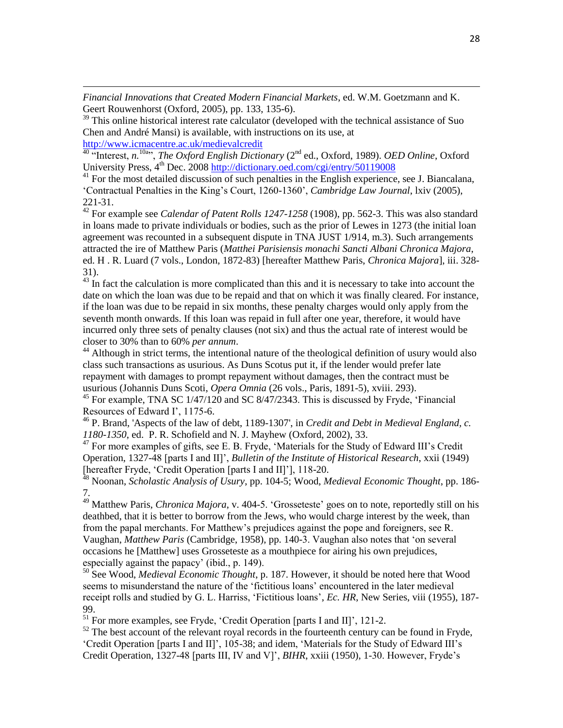*Financial Innovations that Created Modern Financial Markets*, ed. W.M. Goetzmann and K. Geert Rouwenhorst (Oxford, 2005), pp. 133, 135-6).

<sup>39</sup> This online historical interest rate calculator (developed with the technical assistance of Suo Chen and André Mansi) is available, with instructions on its use, at <http://www.icmacentre.ac.uk/medievalcredit>

<sup>40 a</sup> Interest, *n*.<sup>10a</sup>", *The Oxford English Dictionary* (2<sup>nd</sup> ed., Oxford, 1989). *OED Online*, Oxford University Press,  $4^{th}$  Dec. 2008<http://dictionary.oed.com/cgi/entry/50119008>

 $\overline{a}$ 

 $41$  For the most detailed discussion of such penalties in the English experience, see J. Biancalana, 'Contractual Penalties in the King's Court, 1260-1360', *Cambridge Law Journal*, lxiv (2005), 221-31.

<sup>42</sup> For example see *Calendar of Patent Rolls 1247-1258* (1908), pp. 562-3. This was also standard in loans made to private individuals or bodies, such as the prior of Lewes in 1273 (the initial loan agreement was recounted in a subsequent dispute in TNA JUST 1/914, m.3). Such arrangements attracted the ire of Matthew Paris (*Matthei Parisiensis monachi Sancti Albani Chronica Majora*, ed. H . R. Luard (7 vols., London, 1872-83) [hereafter Matthew Paris, *Chronica Majora*], iii. 328- 31).

 $43 \text{ In fact the calculation is more complicated than this and it is necessary to take into account the$ date on which the loan was due to be repaid and that on which it was finally cleared. For instance, if the loan was due to be repaid in six months, these penalty charges would only apply from the seventh month onwards. If this loan was repaid in full after one year, therefore, it would have incurred only three sets of penalty clauses (not six) and thus the actual rate of interest would be closer to 30% than to 60% *per annum*.

 $44$  Although in strict terms, the intentional nature of the theological definition of usury would also class such transactions as usurious. As Duns Scotus put it, if the lender would prefer late repayment with damages to prompt repayment without damages, then the contract must be usurious (Johannis Duns Scoti, *Opera Omnia* (26 vols., Paris, 1891-5), xviii. 293).

 $45$  For example, TNA SC  $1/47/120$  and SC  $8/47/2343$ . This is discussed by Fryde, 'Financial Resources of Edward I', 1175-6.

<sup>46</sup> P. Brand, 'Aspects of the law of debt, 1189-1307', in *Credit and Debt in Medieval England, c. 1180-1350*, ed. P. R. Schofield and N. J. Mayhew (Oxford, 2002), 33.

 $47$  For more examples of gifts, see E. B. Fryde, 'Materials for the Study of Edward III's Credit Operation, 1327-48 [parts I and II]', *Bulletin of the Institute of Historical Research*, xxii (1949) [hereafter Fryde, 'Credit Operation [parts I and II]'], 118-20.

<sup>48</sup> Noonan, *Scholastic Analysis of Usury*, pp. 104-5; Wood, *Medieval Economic Thought*, pp. 186- 7.

<sup>49</sup> Matthew Paris, *Chronica Majora*, v. 404-5. 'Grosseteste' goes on to note, reportedly still on his deathbed, that it is better to borrow from the Jews, who would charge interest by the week, than from the papal merchants. For Matthew's prejudices against the pope and foreigners, see R. Vaughan, *Matthew Paris* (Cambridge, 1958), pp. 140-3. Vaughan also notes that 'on several occasions he [Matthew] uses Grosseteste as a mouthpiece for airing his own prejudices, especially against the papacy' (ibid., p. 149).

<sup>50</sup> See Wood, *Medieval Economic Thought*, p. 187. However, it should be noted here that Wood seems to misunderstand the nature of the 'fictitious loans' encountered in the later medieval receipt rolls and studied by G. L. Harriss, 'Fictitious loans', *Ec. HR*, New Series, viii (1955), 187- 99.

 $51$  For more examples, see Fryde, 'Credit Operation [parts I and II]', 121-2.

 $52$  The best account of the relevant royal records in the fourteenth century can be found in Fryde, 'Credit Operation [parts I and II]', 105-38; and idem, 'Materials for the Study of Edward III's Credit Operation, 1327-48 [parts III, IV and V]', *BIHR*, xxiii (1950), 1-30. However, Fryde's